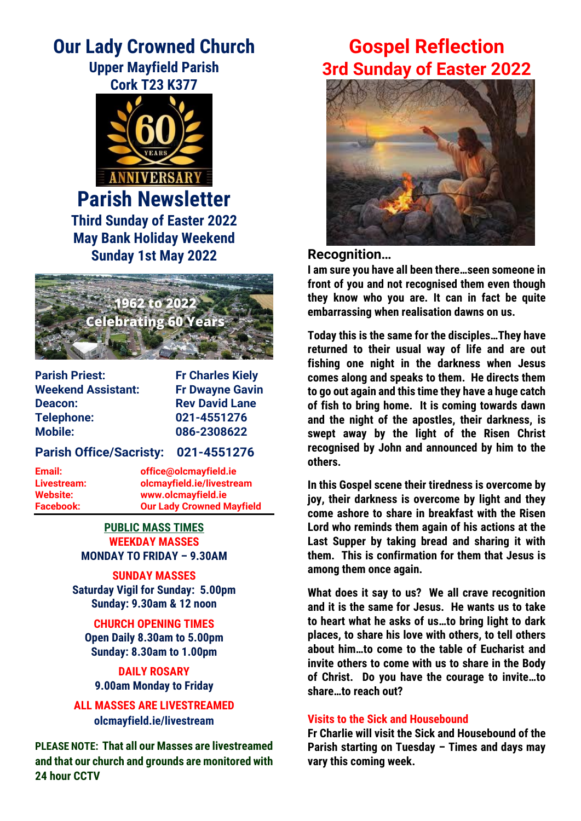# **Our Lady Crowned Church Upper Mayfield Parish**



**Parish Newsletter Third Sunday of Easter 2022 May Bank Holiday Weekend Sunday 1st May 2022**



**Parish Priest:** Fr Charles Kiely **Weekend Assistant: Fr Dwayne Gavin Deacon:** Rev David Lane **Telephone: 021-4551276 Mobile: 086-2308622**

## **Parish Office/Sacristy: 021-4551276**

**Email: office@olcmayfield.ie Livestream: olcmayfield.ie/livestream Website: www.olcmayfield.ie Facebook: Our Lady Crowned Mayfield**

> **PUBLIC MASS TIMES WEEKDAY MASSES MONDAY TO FRIDAY – 9.30AM**

**SUNDAY MASSES Saturday Vigil for Sunday: 5.00pm Sunday: 9.30am & 12 noon**

**CHURCH OPENING TIMES Open Daily 8.30am to 5.00pm Sunday: 8.30am to 1.00pm**

**DAILY ROSARY 9.00am Monday to Friday**

**ALL MASSES ARE LIVESTREAMED olcmayfield.ie/livestream**

**PLEASE NOTE: That all our Masses are livestreamed and that our church and grounds are monitored with 24 hour CCTV** 

# **Gospel Reflection 3rd Sunday of Easter 2022**



## **Recognition…**

**I am sure you have all been there…seen someone in front of you and not recognised them even though they know who you are. It can in fact be quite embarrassing when realisation dawns on us.**

**Today this is the same for the disciples…They have returned to their usual way of life and are out fishing one night in the darkness when Jesus comes along and speaks to them. He directs them to go out again and this time they have a huge catch of fish to bring home. It is coming towards dawn and the night of the apostles, their darkness, is swept away by the light of the Risen Christ recognised by John and announced by him to the others.** 

**In this Gospel scene their tiredness is overcome by joy, their darkness is overcome by light and they come ashore to share in breakfast with the Risen Lord who reminds them again of his actions at the Last Supper by taking bread and sharing it with them. This is confirmation for them that Jesus is among them once again.** 

**What does it say to us? We all crave recognition and it is the same for Jesus. He wants us to take to heart what he asks of us…to bring light to dark places, to share his love with others, to tell others about him…to come to the table of Eucharist and invite others to come with us to share in the Body of Christ. Do you have the courage to invite…to share…to reach out?**

## **Visits to the Sick and Housebound**

**Fr Charlie will visit the Sick and Housebound of the Parish starting on Tuesday – Times and days may vary this coming week.**